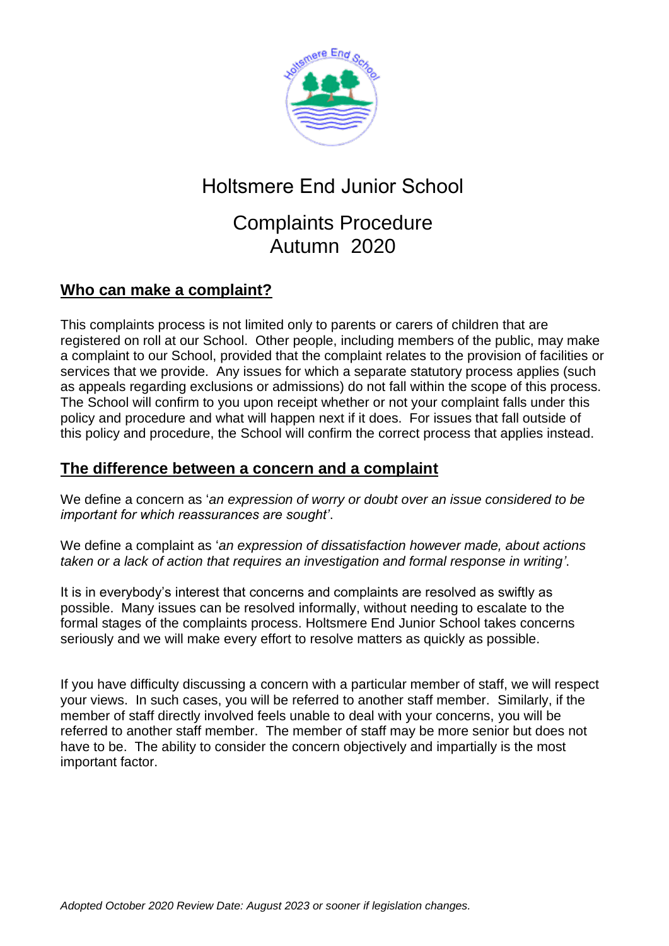

# Holtsmere End Junior School

## Complaints Procedure Autumn 2020

### **Who can make a complaint?**

This complaints process is not limited only to parents or carers of children that are registered on roll at our School. Other people, including members of the public, may make a complaint to our School, provided that the complaint relates to the provision of facilities or services that we provide. Any issues for which a separate statutory process applies (such as appeals regarding exclusions or admissions) do not fall within the scope of this process. The School will confirm to you upon receipt whether or not your complaint falls under this policy and procedure and what will happen next if it does. For issues that fall outside of this policy and procedure, the School will confirm the correct process that applies instead.

#### **The difference between a concern and a complaint**

We define a concern as '*an expression of worry or doubt over an issue considered to be important for which reassurances are sought'*.

We define a complaint as '*an expression of dissatisfaction however made, about actions taken or a lack of action that requires an investigation and formal response in writing'*.

It is in everybody's interest that concerns and complaints are resolved as swiftly as possible. Many issues can be resolved informally, without needing to escalate to the formal stages of the complaints process. Holtsmere End Junior School takes concerns seriously and we will make every effort to resolve matters as quickly as possible.

If you have difficulty discussing a concern with a particular member of staff, we will respect your views. In such cases, you will be referred to another staff member. Similarly, if the member of staff directly involved feels unable to deal with your concerns, you will be referred to another staff member. The member of staff may be more senior but does not have to be. The ability to consider the concern objectively and impartially is the most important factor.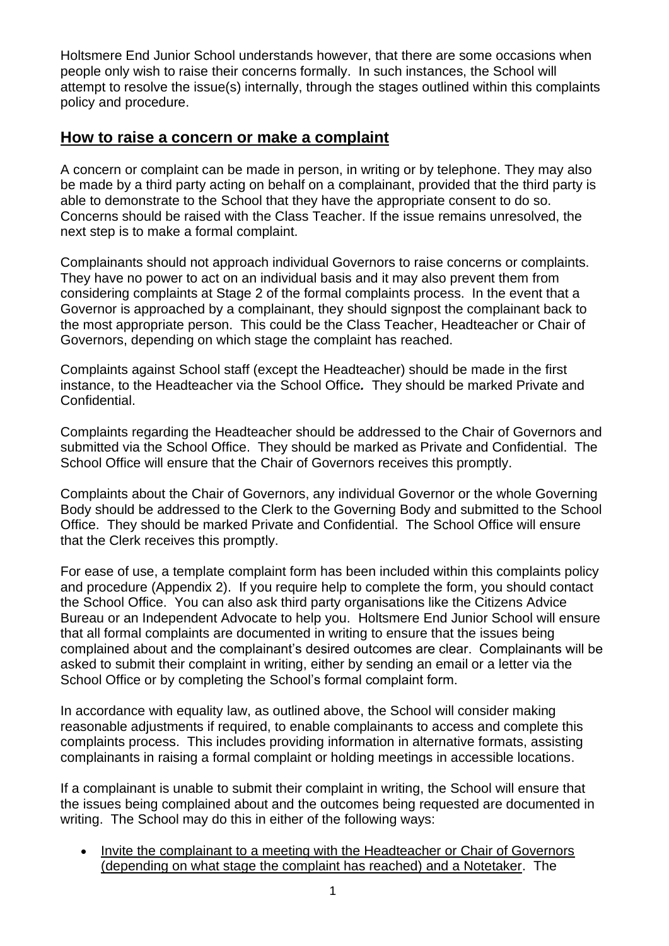Holtsmere End Junior School understands however, that there are some occasions when people only wish to raise their concerns formally. In such instances, the School will attempt to resolve the issue(s) internally, through the stages outlined within this complaints policy and procedure.

#### **How to raise a concern or make a complaint**

A concern or complaint can be made in person, in writing or by telephone. They may also be made by a third party acting on behalf on a complainant, provided that the third party is able to demonstrate to the School that they have the appropriate consent to do so. Concerns should be raised with the Class Teacher. If the issue remains unresolved, the next step is to make a formal complaint.

Complainants should not approach individual Governors to raise concerns or complaints. They have no power to act on an individual basis and it may also prevent them from considering complaints at Stage 2 of the formal complaints process. In the event that a Governor is approached by a complainant, they should signpost the complainant back to the most appropriate person. This could be the Class Teacher, Headteacher or Chair of Governors, depending on which stage the complaint has reached.

Complaints against School staff (except the Headteacher) should be made in the first instance, to the Headteacher via the School Office*.* They should be marked Private and Confidential.

Complaints regarding the Headteacher should be addressed to the Chair of Governors and submitted via the School Office. They should be marked as Private and Confidential. The School Office will ensure that the Chair of Governors receives this promptly.

Complaints about the Chair of Governors, any individual Governor or the whole Governing Body should be addressed to the Clerk to the Governing Body and submitted to the School Office. They should be marked Private and Confidential. The School Office will ensure that the Clerk receives this promptly.

For ease of use, a template complaint form has been included within this complaints policy and procedure (Appendix 2). If you require help to complete the form, you should contact the School Office. You can also ask third party organisations like the Citizens Advice Bureau or an Independent Advocate to help you. Holtsmere End Junior School will ensure that all formal complaints are documented in writing to ensure that the issues being complained about and the complainant's desired outcomes are clear. Complainants will be asked to submit their complaint in writing, either by sending an email or a letter via the School Office or by completing the School's formal complaint form.

In accordance with equality law, as outlined above, the School will consider making reasonable adjustments if required, to enable complainants to access and complete this complaints process. This includes providing information in alternative formats, assisting complainants in raising a formal complaint or holding meetings in accessible locations.

If a complainant is unable to submit their complaint in writing, the School will ensure that the issues being complained about and the outcomes being requested are documented in writing. The School may do this in either of the following ways:

• Invite the complainant to a meeting with the Headteacher or Chair of Governors (depending on what stage the complaint has reached) and a Notetaker. The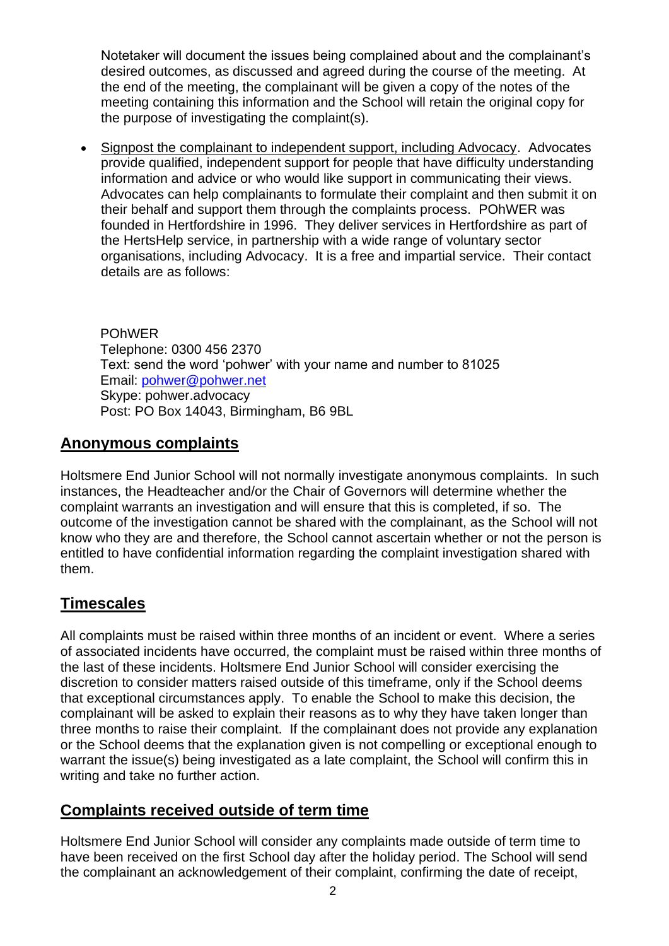Notetaker will document the issues being complained about and the complainant's desired outcomes, as discussed and agreed during the course of the meeting. At the end of the meeting, the complainant will be given a copy of the notes of the meeting containing this information and the School will retain the original copy for the purpose of investigating the complaint(s).

• Signpost the complainant to independent support, including Advocacy. Advocates provide qualified, independent support for people that have difficulty understanding information and advice or who would like support in communicating their views. Advocates can help complainants to formulate their complaint and then submit it on their behalf and support them through the complaints process. POhWER was founded in Hertfordshire in 1996. They deliver services in Hertfordshire as part of the HertsHelp service, in partnership with a wide range of voluntary sector organisations, including Advocacy. It is a free and impartial service. Their contact details are as follows:

POhWER Telephone: 0300 456 2370 Text: send the word 'pohwer' with your name and number to 81025 Email: [pohwer@pohwer.net](mailto:pohwer@pohwer.net) Skype: pohwer.advocacy Post: PO Box 14043, Birmingham, B6 9BL

### **Anonymous complaints**

Holtsmere End Junior School will not normally investigate anonymous complaints. In such instances, the Headteacher and/or the Chair of Governors will determine whether the complaint warrants an investigation and will ensure that this is completed, if so. The outcome of the investigation cannot be shared with the complainant, as the School will not know who they are and therefore, the School cannot ascertain whether or not the person is entitled to have confidential information regarding the complaint investigation shared with them.

## **Timescales**

All complaints must be raised within three months of an incident or event. Where a series of associated incidents have occurred, the complaint must be raised within three months of the last of these incidents. Holtsmere End Junior School will consider exercising the discretion to consider matters raised outside of this timeframe, only if the School deems that exceptional circumstances apply. To enable the School to make this decision, the complainant will be asked to explain their reasons as to why they have taken longer than three months to raise their complaint. If the complainant does not provide any explanation or the School deems that the explanation given is not compelling or exceptional enough to warrant the issue(s) being investigated as a late complaint, the School will confirm this in writing and take no further action.

### **Complaints received outside of term time**

Holtsmere End Junior School will consider any complaints made outside of term time to have been received on the first School day after the holiday period. The School will send the complainant an acknowledgement of their complaint, confirming the date of receipt,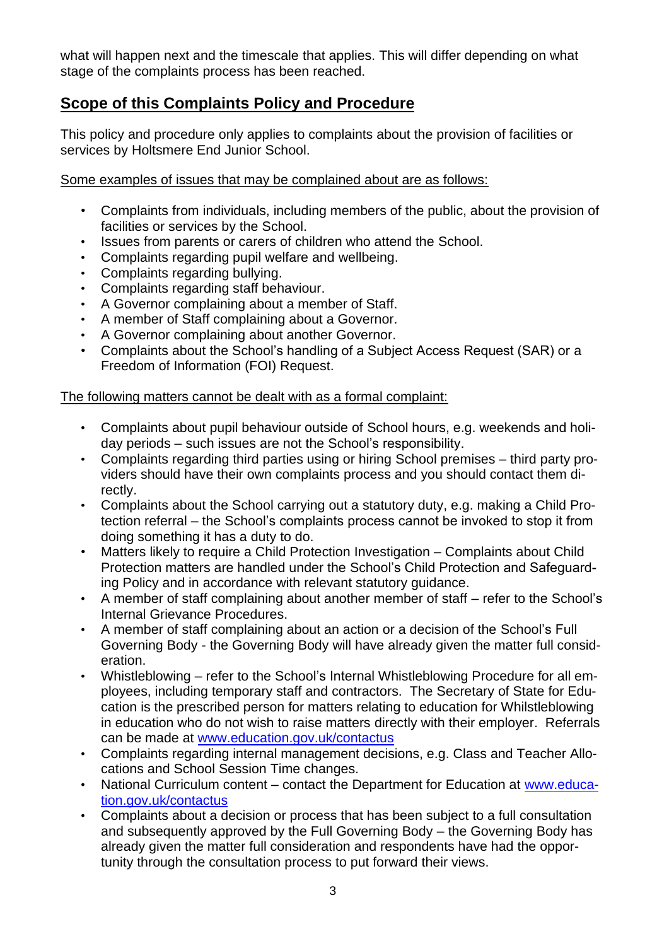what will happen next and the timescale that applies. This will differ depending on what stage of the complaints process has been reached.

### **Scope of this Complaints Policy and Procedure**

This policy and procedure only applies to complaints about the provision of facilities or services by Holtsmere End Junior School.

Some examples of issues that may be complained about are as follows:

- Complaints from individuals, including members of the public, about the provision of facilities or services by the School.
- Issues from parents or carers of children who attend the School.
- Complaints regarding pupil welfare and wellbeing.
- Complaints regarding bullying.
- Complaints regarding staff behaviour.
- A Governor complaining about a member of Staff.
- A member of Staff complaining about a Governor.
- A Governor complaining about another Governor.
- Complaints about the School's handling of a Subject Access Request (SAR) or a Freedom of Information (FOI) Request.

#### The following matters cannot be dealt with as a formal complaint:

- Complaints about pupil behaviour outside of School hours, e.g. weekends and holiday periods – such issues are not the School's responsibility.
- Complaints regarding third parties using or hiring School premises third party providers should have their own complaints process and you should contact them directly.
- Complaints about the School carrying out a statutory duty, e.g. making a Child Protection referral – the School's complaints process cannot be invoked to stop it from doing something it has a duty to do.
- Matters likely to require a Child Protection Investigation Complaints about Child Protection matters are handled under the School's Child Protection and Safeguarding Policy and in accordance with relevant statutory guidance.
- A member of staff complaining about another member of staff refer to the School's Internal Grievance Procedures.
- A member of staff complaining about an action or a decision of the School's Full Governing Body - the Governing Body will have already given the matter full consideration.
- Whistleblowing refer to the School's Internal Whistleblowing Procedure for all employees, including temporary staff and contractors. The Secretary of State for Education is the prescribed person for matters relating to education for Whilstleblowing in education who do not wish to raise matters directly with their employer. Referrals can be made at [www.education.gov.uk/contactus](http://www.education.gov.uk/contactus)
- Complaints regarding internal management decisions, e.g. Class and Teacher Allocations and School Session Time changes.
- National Curriculum content contact the Department for Education at [www.educa](http://www.education.gov.uk/contactus)[tion.gov.uk/contactus](http://www.education.gov.uk/contactus)
- Complaints about a decision or process that has been subject to a full consultation and subsequently approved by the Full Governing Body – the Governing Body has already given the matter full consideration and respondents have had the opportunity through the consultation process to put forward their views.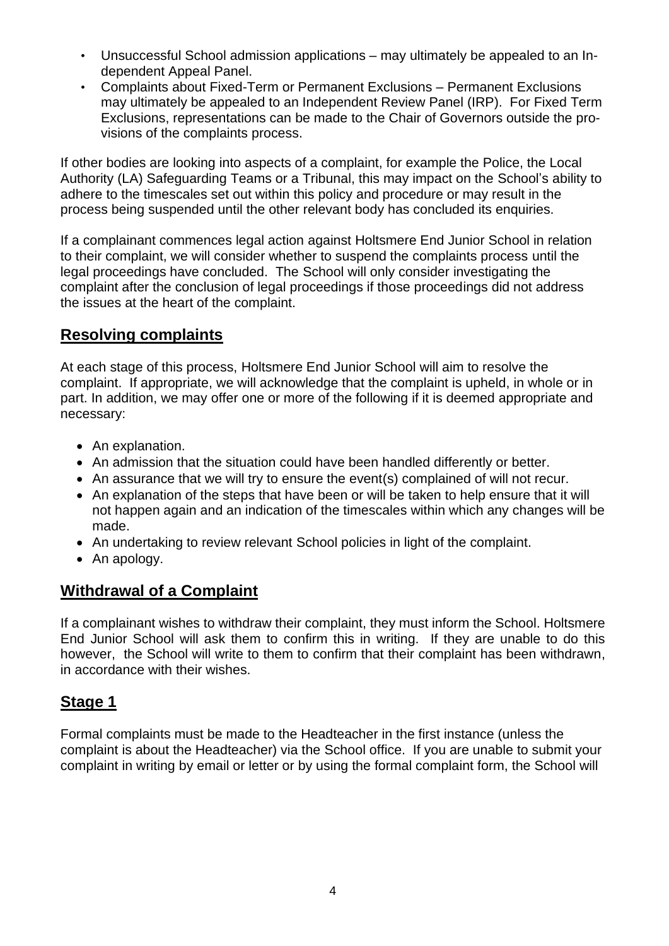- Unsuccessful School admission applications may ultimately be appealed to an Independent Appeal Panel.
- Complaints about Fixed-Term or Permanent Exclusions Permanent Exclusions may ultimately be appealed to an Independent Review Panel (IRP). For Fixed Term Exclusions, representations can be made to the Chair of Governors outside the provisions of the complaints process.

If other bodies are looking into aspects of a complaint, for example the Police, the Local Authority (LA) Safeguarding Teams or a Tribunal, this may impact on the School's ability to adhere to the timescales set out within this policy and procedure or may result in the process being suspended until the other relevant body has concluded its enquiries.

If a complainant commences legal action against Holtsmere End Junior School in relation to their complaint, we will consider whether to suspend the complaints process until the legal proceedings have concluded. The School will only consider investigating the complaint after the conclusion of legal proceedings if those proceedings did not address the issues at the heart of the complaint.

### **Resolving complaints**

At each stage of this process, Holtsmere End Junior School will aim to resolve the complaint. If appropriate, we will acknowledge that the complaint is upheld, in whole or in part. In addition, we may offer one or more of the following if it is deemed appropriate and necessary:

- An explanation.
- An admission that the situation could have been handled differently or better.
- An assurance that we will try to ensure the event(s) complained of will not recur.
- An explanation of the steps that have been or will be taken to help ensure that it will not happen again and an indication of the timescales within which any changes will be made.
- An undertaking to review relevant School policies in light of the complaint.
- An apology.

### **Withdrawal of a Complaint**

If a complainant wishes to withdraw their complaint, they must inform the School. Holtsmere End Junior School will ask them to confirm this in writing. If they are unable to do this however, the School will write to them to confirm that their complaint has been withdrawn, in accordance with their wishes.

### **Stage 1**

Formal complaints must be made to the Headteacher in the first instance (unless the complaint is about the Headteacher) via the School office. If you are unable to submit your complaint in writing by email or letter or by using the formal complaint form, the School will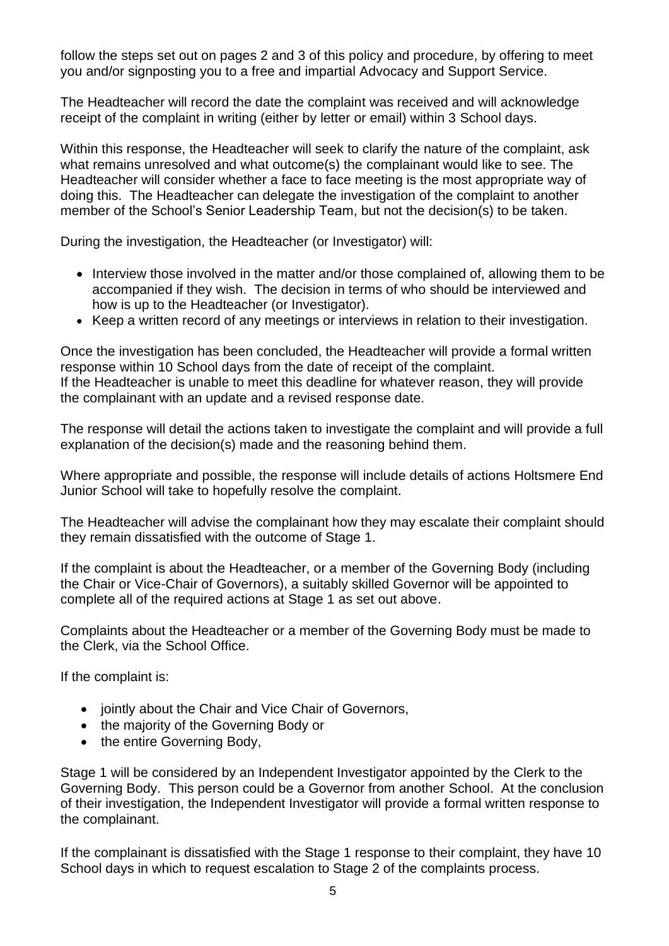follow the steps set out on pages 2 and 3 of this policy and procedure, by offering to meet you and/or signposting you to a free and impartial Advocacy and Support Service.

The Headteacher will record the date the complaint was received and will acknowledge receipt of the complaint in writing (either by letter or email) within 3 School days.

Within this response, the Headteacher will seek to clarify the nature of the complaint, ask what remains unresolved and what outcome(s) the complainant would like to see. The Headteacher will consider whether a face to face meeting is the most appropriate way of doing this. The Headteacher can delegate the investigation of the complaint to another member of the School's Senior Leadership Team, but not the decision(s) to be taken.

During the investigation, the Headteacher (or Investigator) will:

- Interview those involved in the matter and/or those complained of, allowing them to be accompanied if they wish. The decision in terms of who should be interviewed and how is up to the Headteacher (or Investigator).
- Keep a written record of any meetings or interviews in relation to their investigation.

Once the investigation has been concluded, the Headteacher will provide a formal written response within 10 School days from the date of receipt of the complaint. If the Headteacher is unable to meet this deadline for whatever reason, they will provide the complainant with an update and a revised response date.

The response will detail the actions taken to investigate the complaint and will provide a full explanation of the decision(s) made and the reasoning behind them.

Where appropriate and possible, the response will include details of actions Holtsmere End Junior School will take to hopefully resolve the complaint.

The Headteacher will advise the complainant how they may escalate their complaint should they remain dissatisfied with the outcome of Stage 1.

If the complaint is about the Headteacher, or a member of the Governing Body (including the Chair or Vice-Chair of Governors), a suitably skilled Governor will be appointed to complete all of the required actions at Stage 1 as set out above.

Complaints about the Headteacher or a member of the Governing Body must be made to the Clerk, via the School Office.

If the complaint is:

- jointly about the Chair and Vice Chair of Governors,
- the majority of the Governing Body or
- the entire Governing Body,

Stage 1 will be considered by an Independent Investigator appointed by the Clerk to the Governing Body. This person could be a Governor from another School. At the conclusion of their investigation, the Independent Investigator will provide a formal written response to the complainant.

If the complainant is dissatisfied with the Stage 1 response to their complaint, they have 10 School days in which to request escalation to Stage 2 of the complaints process.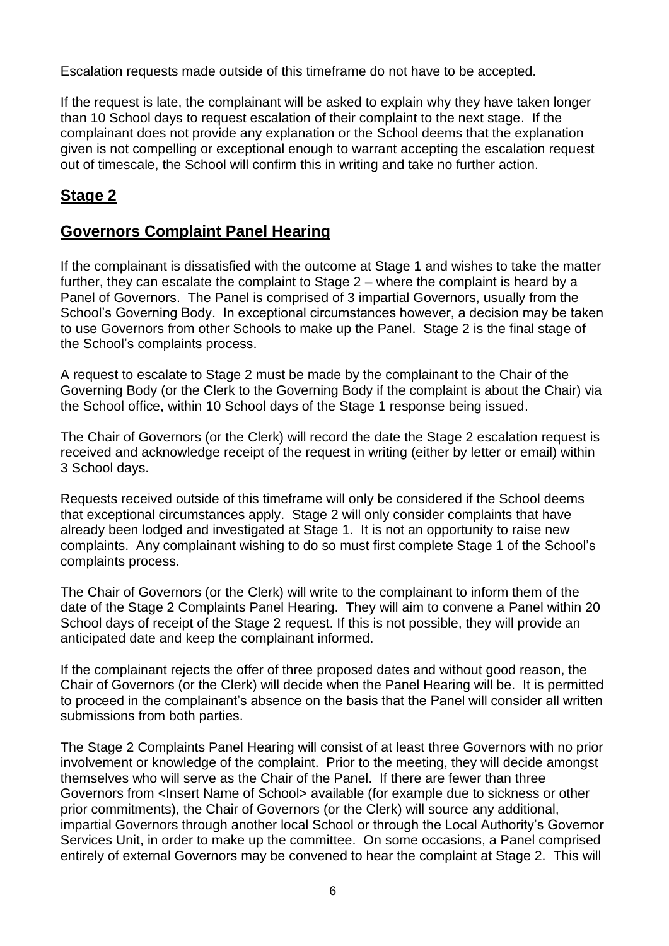Escalation requests made outside of this timeframe do not have to be accepted.

If the request is late, the complainant will be asked to explain why they have taken longer than 10 School days to request escalation of their complaint to the next stage. If the complainant does not provide any explanation or the School deems that the explanation given is not compelling or exceptional enough to warrant accepting the escalation request out of timescale, the School will confirm this in writing and take no further action.

### **Stage 2**

#### **Governors Complaint Panel Hearing**

If the complainant is dissatisfied with the outcome at Stage 1 and wishes to take the matter further, they can escalate the complaint to Stage 2 – where the complaint is heard by a Panel of Governors. The Panel is comprised of 3 impartial Governors, usually from the School's Governing Body. In exceptional circumstances however, a decision may be taken to use Governors from other Schools to make up the Panel. Stage 2 is the final stage of the School's complaints process.

A request to escalate to Stage 2 must be made by the complainant to the Chair of the Governing Body (or the Clerk to the Governing Body if the complaint is about the Chair) via the School office, within 10 School days of the Stage 1 response being issued.

The Chair of Governors (or the Clerk) will record the date the Stage 2 escalation request is received and acknowledge receipt of the request in writing (either by letter or email) within 3 School days.

Requests received outside of this timeframe will only be considered if the School deems that exceptional circumstances apply. Stage 2 will only consider complaints that have already been lodged and investigated at Stage 1. It is not an opportunity to raise new complaints. Any complainant wishing to do so must first complete Stage 1 of the School's complaints process.

The Chair of Governors (or the Clerk) will write to the complainant to inform them of the date of the Stage 2 Complaints Panel Hearing. They will aim to convene a Panel within 20 School days of receipt of the Stage 2 request. If this is not possible, they will provide an anticipated date and keep the complainant informed.

If the complainant rejects the offer of three proposed dates and without good reason, the Chair of Governors (or the Clerk) will decide when the Panel Hearing will be. It is permitted to proceed in the complainant's absence on the basis that the Panel will consider all written submissions from both parties.

The Stage 2 Complaints Panel Hearing will consist of at least three Governors with no prior involvement or knowledge of the complaint. Prior to the meeting, they will decide amongst themselves who will serve as the Chair of the Panel. If there are fewer than three Governors from <Insert Name of School> available (for example due to sickness or other prior commitments), the Chair of Governors (or the Clerk) will source any additional, impartial Governors through another local School or through the Local Authority's Governor Services Unit, in order to make up the committee. On some occasions, a Panel comprised entirely of external Governors may be convened to hear the complaint at Stage 2. This will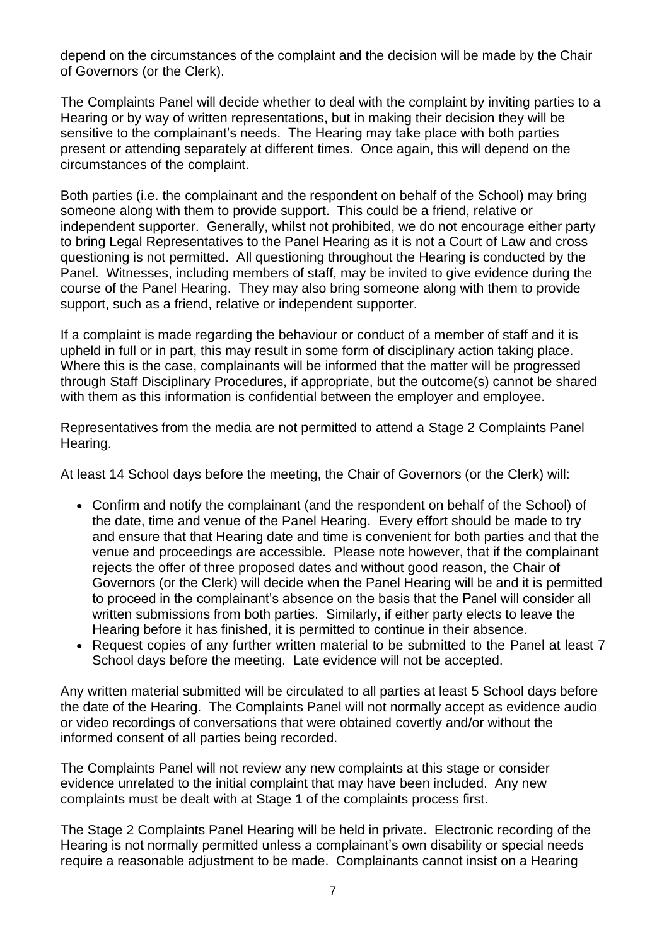depend on the circumstances of the complaint and the decision will be made by the Chair of Governors (or the Clerk).

The Complaints Panel will decide whether to deal with the complaint by inviting parties to a Hearing or by way of written representations, but in making their decision they will be sensitive to the complainant's needs. The Hearing may take place with both parties present or attending separately at different times. Once again, this will depend on the circumstances of the complaint.

Both parties (i.e. the complainant and the respondent on behalf of the School) may bring someone along with them to provide support. This could be a friend, relative or independent supporter. Generally, whilst not prohibited, we do not encourage either party to bring Legal Representatives to the Panel Hearing as it is not a Court of Law and cross questioning is not permitted. All questioning throughout the Hearing is conducted by the Panel. Witnesses, including members of staff, may be invited to give evidence during the course of the Panel Hearing. They may also bring someone along with them to provide support, such as a friend, relative or independent supporter.

If a complaint is made regarding the behaviour or conduct of a member of staff and it is upheld in full or in part, this may result in some form of disciplinary action taking place. Where this is the case, complainants will be informed that the matter will be progressed through Staff Disciplinary Procedures, if appropriate, but the outcome(s) cannot be shared with them as this information is confidential between the employer and employee.

Representatives from the media are not permitted to attend a Stage 2 Complaints Panel Hearing.

At least 14 School days before the meeting, the Chair of Governors (or the Clerk) will:

- Confirm and notify the complainant (and the respondent on behalf of the School) of the date, time and venue of the Panel Hearing. Every effort should be made to try and ensure that that Hearing date and time is convenient for both parties and that the venue and proceedings are accessible. Please note however, that if the complainant rejects the offer of three proposed dates and without good reason, the Chair of Governors (or the Clerk) will decide when the Panel Hearing will be and it is permitted to proceed in the complainant's absence on the basis that the Panel will consider all written submissions from both parties. Similarly, if either party elects to leave the Hearing before it has finished, it is permitted to continue in their absence.
- Request copies of any further written material to be submitted to the Panel at least 7 School days before the meeting. Late evidence will not be accepted.

Any written material submitted will be circulated to all parties at least 5 School days before the date of the Hearing. The Complaints Panel will not normally accept as evidence audio or video recordings of conversations that were obtained covertly and/or without the informed consent of all parties being recorded.

The Complaints Panel will not review any new complaints at this stage or consider evidence unrelated to the initial complaint that may have been included. Any new complaints must be dealt with at Stage 1 of the complaints process first.

The Stage 2 Complaints Panel Hearing will be held in private. Electronic recording of the Hearing is not normally permitted unless a complainant's own disability or special needs require a reasonable adjustment to be made. Complainants cannot insist on a Hearing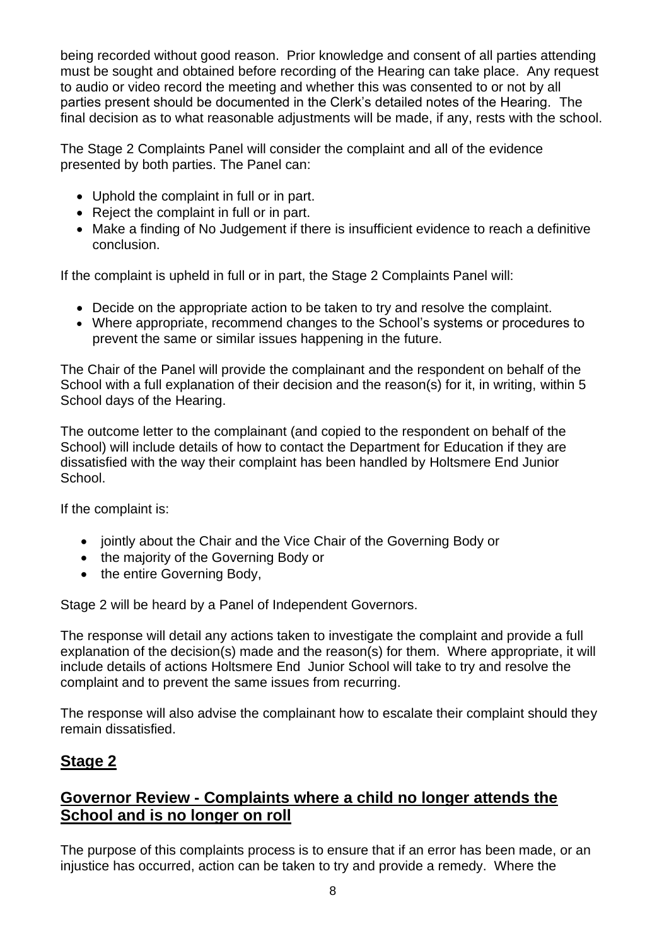being recorded without good reason. Prior knowledge and consent of all parties attending must be sought and obtained before recording of the Hearing can take place. Any request to audio or video record the meeting and whether this was consented to or not by all parties present should be documented in the Clerk's detailed notes of the Hearing. The final decision as to what reasonable adjustments will be made, if any, rests with the school.

The Stage 2 Complaints Panel will consider the complaint and all of the evidence presented by both parties. The Panel can:

- Uphold the complaint in full or in part.
- Reject the complaint in full or in part.
- Make a finding of No Judgement if there is insufficient evidence to reach a definitive conclusion.

If the complaint is upheld in full or in part, the Stage 2 Complaints Panel will:

- Decide on the appropriate action to be taken to try and resolve the complaint.
- Where appropriate, recommend changes to the School's systems or procedures to prevent the same or similar issues happening in the future.

The Chair of the Panel will provide the complainant and the respondent on behalf of the School with a full explanation of their decision and the reason(s) for it, in writing, within 5 School days of the Hearing.

The outcome letter to the complainant (and copied to the respondent on behalf of the School) will include details of how to contact the Department for Education if they are dissatisfied with the way their complaint has been handled by Holtsmere End Junior School.

If the complaint is:

- jointly about the Chair and the Vice Chair of the Governing Body or
- the majority of the Governing Body or
- the entire Governing Body,

Stage 2 will be heard by a Panel of Independent Governors.

The response will detail any actions taken to investigate the complaint and provide a full explanation of the decision(s) made and the reason(s) for them. Where appropriate, it will include details of actions Holtsmere End Junior School will take to try and resolve the complaint and to prevent the same issues from recurring.

The response will also advise the complainant how to escalate their complaint should they remain dissatisfied.

### **Stage 2**

### **Governor Review - Complaints where a child no longer attends the School and is no longer on roll**

The purpose of this complaints process is to ensure that if an error has been made, or an injustice has occurred, action can be taken to try and provide a remedy. Where the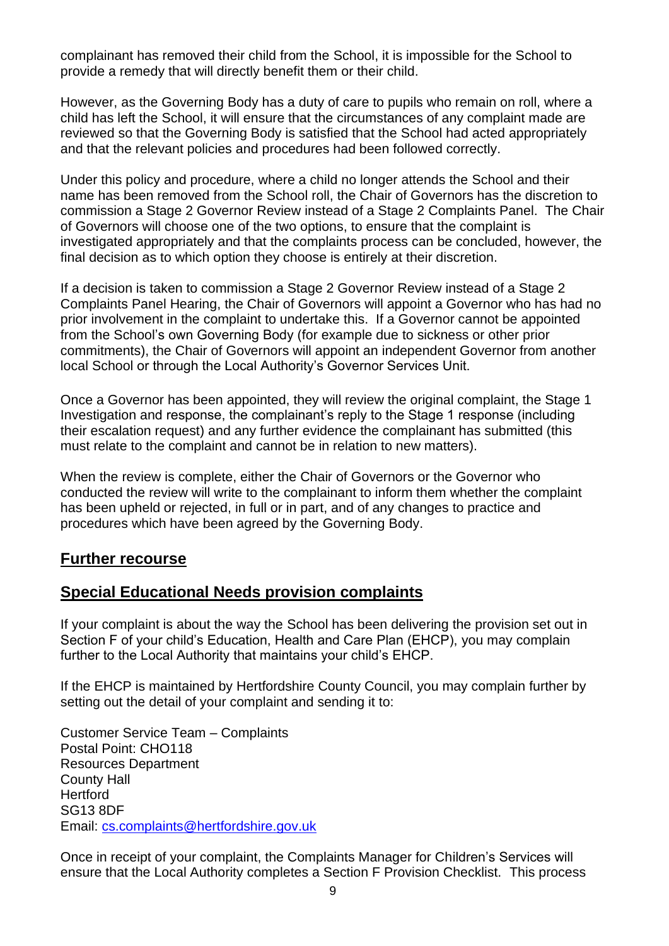complainant has removed their child from the School, it is impossible for the School to provide a remedy that will directly benefit them or their child.

However, as the Governing Body has a duty of care to pupils who remain on roll, where a child has left the School, it will ensure that the circumstances of any complaint made are reviewed so that the Governing Body is satisfied that the School had acted appropriately and that the relevant policies and procedures had been followed correctly.

Under this policy and procedure, where a child no longer attends the School and their name has been removed from the School roll, the Chair of Governors has the discretion to commission a Stage 2 Governor Review instead of a Stage 2 Complaints Panel. The Chair of Governors will choose one of the two options, to ensure that the complaint is investigated appropriately and that the complaints process can be concluded, however, the final decision as to which option they choose is entirely at their discretion.

If a decision is taken to commission a Stage 2 Governor Review instead of a Stage 2 Complaints Panel Hearing, the Chair of Governors will appoint a Governor who has had no prior involvement in the complaint to undertake this. If a Governor cannot be appointed from the School's own Governing Body (for example due to sickness or other prior commitments), the Chair of Governors will appoint an independent Governor from another local School or through the Local Authority's Governor Services Unit.

Once a Governor has been appointed, they will review the original complaint, the Stage 1 Investigation and response, the complainant's reply to the Stage 1 response (including their escalation request) and any further evidence the complainant has submitted (this must relate to the complaint and cannot be in relation to new matters).

When the review is complete, either the Chair of Governors or the Governor who conducted the review will write to the complainant to inform them whether the complaint has been upheld or rejected, in full or in part, and of any changes to practice and procedures which have been agreed by the Governing Body.

#### **Further recourse**

#### **Special Educational Needs provision complaints**

If your complaint is about the way the School has been delivering the provision set out in Section F of your child's Education, Health and Care Plan (EHCP), you may complain further to the Local Authority that maintains your child's EHCP.

If the EHCP is maintained by Hertfordshire County Council, you may complain further by setting out the detail of your complaint and sending it to:

Customer Service Team – Complaints Postal Point: CHO118 Resources Department County Hall Hertford SG13 8DF Email: [cs.complaints@hertfordshire.gov.uk](mailto:cs.complaints@hertfordshire.gov.uk)

Once in receipt of your complaint, the Complaints Manager for Children's Services will ensure that the Local Authority completes a Section F Provision Checklist. This process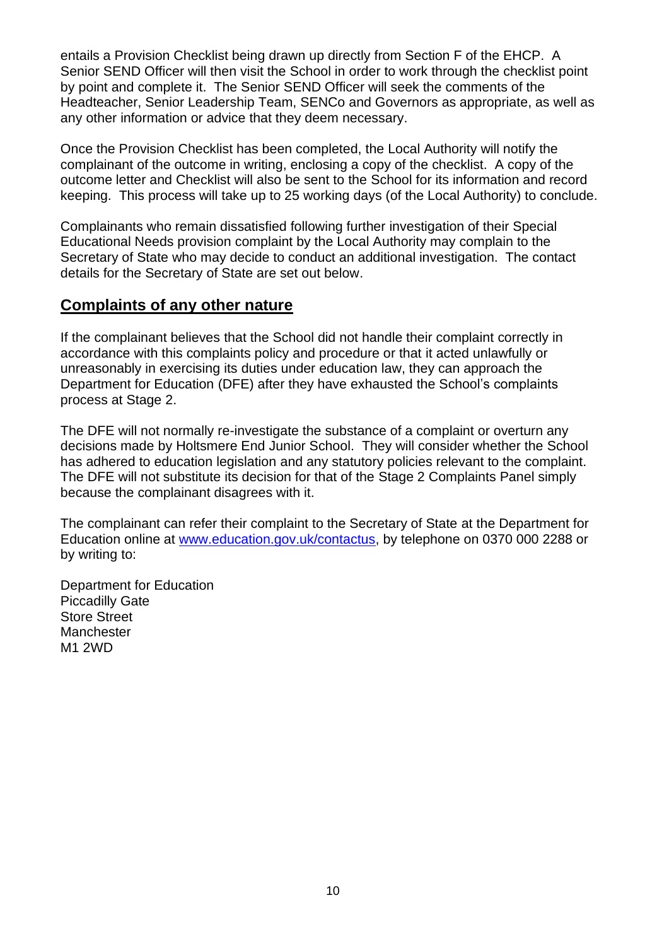entails a Provision Checklist being drawn up directly from Section F of the EHCP. A Senior SEND Officer will then visit the School in order to work through the checklist point by point and complete it. The Senior SEND Officer will seek the comments of the Headteacher, Senior Leadership Team, SENCo and Governors as appropriate, as well as any other information or advice that they deem necessary.

Once the Provision Checklist has been completed, the Local Authority will notify the complainant of the outcome in writing, enclosing a copy of the checklist. A copy of the outcome letter and Checklist will also be sent to the School for its information and record keeping. This process will take up to 25 working days (of the Local Authority) to conclude.

Complainants who remain dissatisfied following further investigation of their Special Educational Needs provision complaint by the Local Authority may complain to the Secretary of State who may decide to conduct an additional investigation. The contact details for the Secretary of State are set out below.

#### **Complaints of any other nature**

If the complainant believes that the School did not handle their complaint correctly in accordance with this complaints policy and procedure or that it acted unlawfully or unreasonably in exercising its duties under education law, they can approach the Department for Education (DFE) after they have exhausted the School's complaints process at Stage 2.

The DFE will not normally re-investigate the substance of a complaint or overturn any decisions made by Holtsmere End Junior School. They will consider whether the School has adhered to education legislation and any statutory policies relevant to the complaint. The DFE will not substitute its decision for that of the Stage 2 Complaints Panel simply because the complainant disagrees with it.

The complainant can refer their complaint to the Secretary of State at the Department for Education online at [www.education.gov.uk/contactus,](http://www.education.gov.uk/contactus) by telephone on 0370 000 2288 or by writing to:

Department for Education Piccadilly Gate Store Street **Manchester** M1 2WD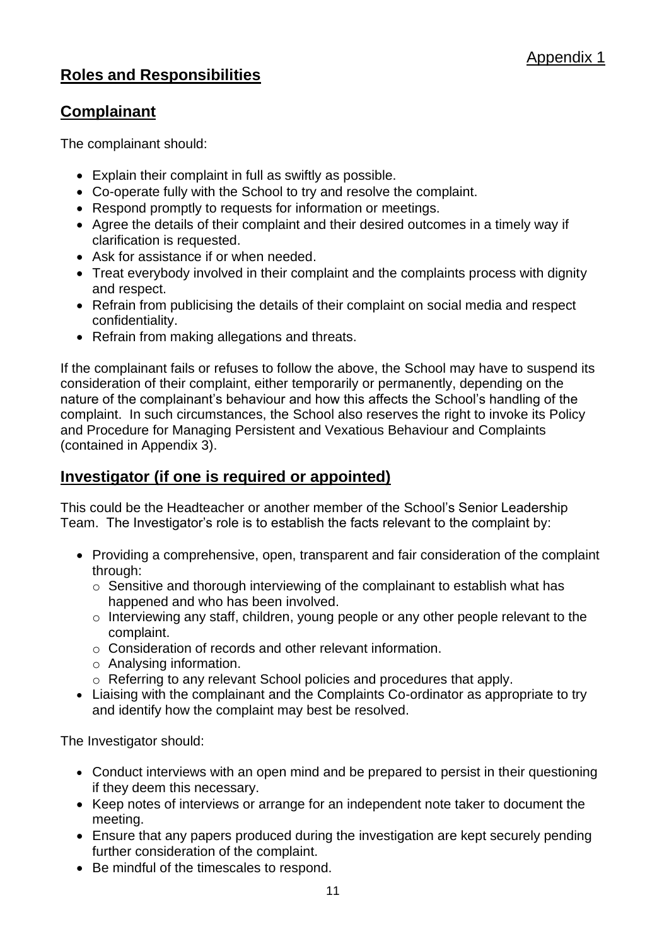### **Roles and Responsibilities**

#### **Complainant**

The complainant should:

- Explain their complaint in full as swiftly as possible.
- Co-operate fully with the School to try and resolve the complaint.
- Respond promptly to requests for information or meetings.
- Agree the details of their complaint and their desired outcomes in a timely way if clarification is requested.
- Ask for assistance if or when needed.
- Treat everybody involved in their complaint and the complaints process with dignity and respect.
- Refrain from publicising the details of their complaint on social media and respect confidentiality.
- Refrain from making allegations and threats.

If the complainant fails or refuses to follow the above, the School may have to suspend its consideration of their complaint, either temporarily or permanently, depending on the nature of the complainant's behaviour and how this affects the School's handling of the complaint. In such circumstances, the School also reserves the right to invoke its Policy and Procedure for Managing Persistent and Vexatious Behaviour and Complaints (contained in Appendix 3).

### **Investigator (if one is required or appointed)**

This could be the Headteacher or another member of the School's Senior Leadership Team. The Investigator's role is to establish the facts relevant to the complaint by:

- Providing a comprehensive, open, transparent and fair consideration of the complaint through:
	- $\circ$  Sensitive and thorough interviewing of the complainant to establish what has happened and who has been involved.
	- o Interviewing any staff, children, young people or any other people relevant to the complaint.
	- o Consideration of records and other relevant information.
	- o Analysing information.
	- o Referring to any relevant School policies and procedures that apply.
- Liaising with the complainant and the Complaints Co-ordinator as appropriate to try and identify how the complaint may best be resolved.

The Investigator should:

- Conduct interviews with an open mind and be prepared to persist in their questioning if they deem this necessary.
- Keep notes of interviews or arrange for an independent note taker to document the meeting.
- Ensure that any papers produced during the investigation are kept securely pending further consideration of the complaint.
- Be mindful of the timescales to respond.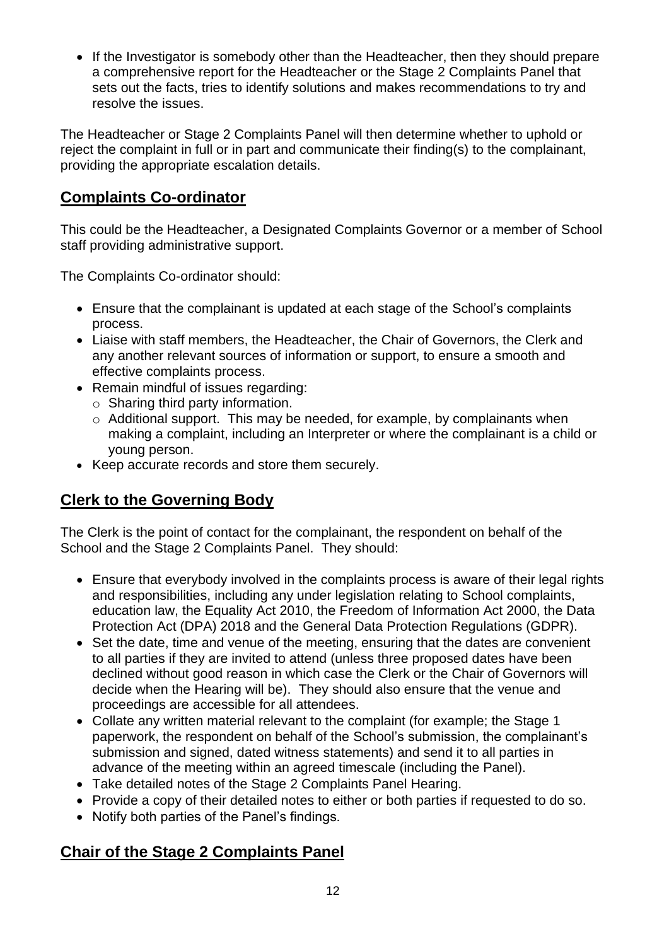• If the Investigator is somebody other than the Headteacher, then they should prepare a comprehensive report for the Headteacher or the Stage 2 Complaints Panel that sets out the facts, tries to identify solutions and makes recommendations to try and resolve the issues.

The Headteacher or Stage 2 Complaints Panel will then determine whether to uphold or reject the complaint in full or in part and communicate their finding(s) to the complainant, providing the appropriate escalation details.

### **Complaints Co-ordinator**

This could be the Headteacher, a Designated Complaints Governor or a member of School staff providing administrative support.

The Complaints Co-ordinator should:

- Ensure that the complainant is updated at each stage of the School's complaints process.
- Liaise with staff members, the Headteacher, the Chair of Governors, the Clerk and any another relevant sources of information or support, to ensure a smooth and effective complaints process.
- Remain mindful of issues regarding:
	- $\circ$  Sharing third party information.
	- o Additional support. This may be needed, for example, by complainants when making a complaint, including an Interpreter or where the complainant is a child or young person.
- Keep accurate records and store them securely.

### **Clerk to the Governing Body**

The Clerk is the point of contact for the complainant, the respondent on behalf of the School and the Stage 2 Complaints Panel. They should:

- Ensure that everybody involved in the complaints process is aware of their legal rights and responsibilities, including any under legislation relating to School complaints, education law, the Equality Act 2010, the Freedom of Information Act 2000, the Data Protection Act (DPA) 2018 and the General Data Protection Regulations (GDPR).
- Set the date, time and venue of the meeting, ensuring that the dates are convenient to all parties if they are invited to attend (unless three proposed dates have been declined without good reason in which case the Clerk or the Chair of Governors will decide when the Hearing will be). They should also ensure that the venue and proceedings are accessible for all attendees.
- Collate any written material relevant to the complaint (for example; the Stage 1 paperwork, the respondent on behalf of the School's submission, the complainant's submission and signed, dated witness statements) and send it to all parties in advance of the meeting within an agreed timescale (including the Panel).
- Take detailed notes of the Stage 2 Complaints Panel Hearing.
- Provide a copy of their detailed notes to either or both parties if requested to do so.
- Notify both parties of the Panel's findings.

### **Chair of the Stage 2 Complaints Panel**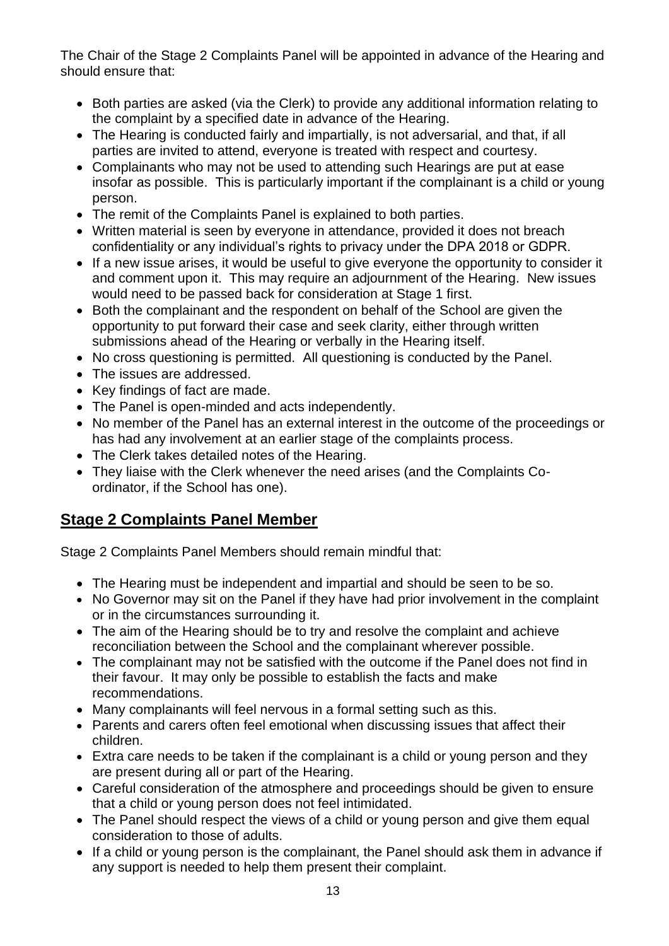The Chair of the Stage 2 Complaints Panel will be appointed in advance of the Hearing and should ensure that:

- Both parties are asked (via the Clerk) to provide any additional information relating to the complaint by a specified date in advance of the Hearing.
- The Hearing is conducted fairly and impartially, is not adversarial, and that, if all parties are invited to attend, everyone is treated with respect and courtesy.
- Complainants who may not be used to attending such Hearings are put at ease insofar as possible. This is particularly important if the complainant is a child or young person.
- The remit of the Complaints Panel is explained to both parties.
- Written material is seen by everyone in attendance, provided it does not breach confidentiality or any individual's rights to privacy under the DPA 2018 or GDPR.
- If a new issue arises, it would be useful to give everyone the opportunity to consider it and comment upon it. This may require an adjournment of the Hearing. New issues would need to be passed back for consideration at Stage 1 first.
- Both the complainant and the respondent on behalf of the School are given the opportunity to put forward their case and seek clarity, either through written submissions ahead of the Hearing or verbally in the Hearing itself.
- No cross questioning is permitted. All questioning is conducted by the Panel.
- The issues are addressed.
- Key findings of fact are made.
- The Panel is open-minded and acts independently.
- No member of the Panel has an external interest in the outcome of the proceedings or has had any involvement at an earlier stage of the complaints process.
- The Clerk takes detailed notes of the Hearing.
- They liaise with the Clerk whenever the need arises (and the Complaints Coordinator, if the School has one).

### **Stage 2 Complaints Panel Member**

Stage 2 Complaints Panel Members should remain mindful that:

- The Hearing must be independent and impartial and should be seen to be so.
- No Governor may sit on the Panel if they have had prior involvement in the complaint or in the circumstances surrounding it.
- The aim of the Hearing should be to try and resolve the complaint and achieve reconciliation between the School and the complainant wherever possible.
- The complainant may not be satisfied with the outcome if the Panel does not find in their favour. It may only be possible to establish the facts and make recommendations.
- Many complainants will feel nervous in a formal setting such as this.
- Parents and carers often feel emotional when discussing issues that affect their children.
- Extra care needs to be taken if the complainant is a child or young person and they are present during all or part of the Hearing.
- Careful consideration of the atmosphere and proceedings should be given to ensure that a child or young person does not feel intimidated.
- The Panel should respect the views of a child or young person and give them equal consideration to those of adults.
- If a child or young person is the complainant, the Panel should ask them in advance if any support is needed to help them present their complaint.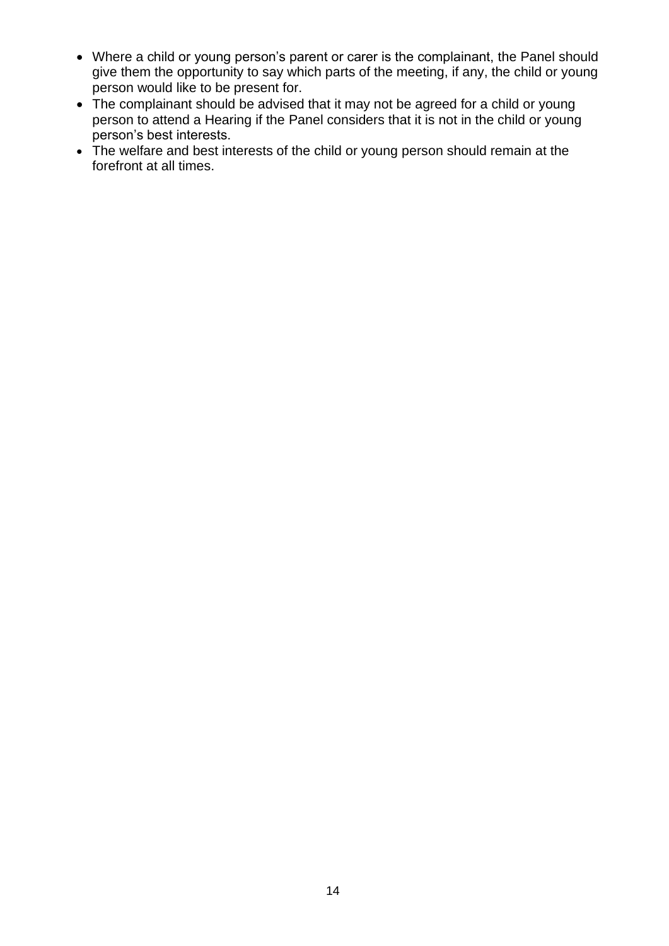- Where a child or young person's parent or carer is the complainant, the Panel should give them the opportunity to say which parts of the meeting, if any, the child or young person would like to be present for.
- The complainant should be advised that it may not be agreed for a child or young person to attend a Hearing if the Panel considers that it is not in the child or young person's best interests.
- The welfare and best interests of the child or young person should remain at the forefront at all times.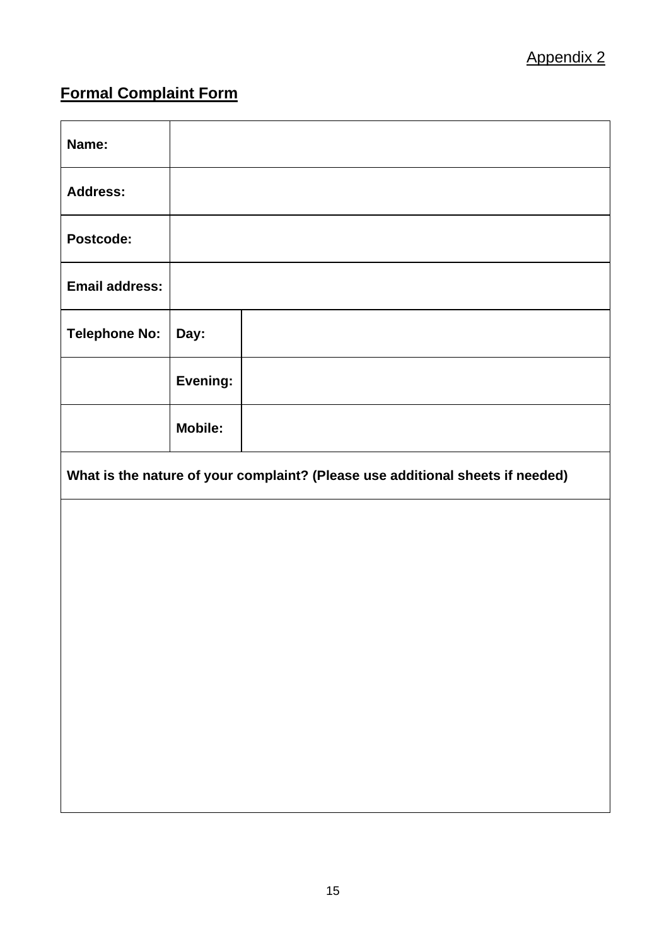## **Formal Complaint Form**

| Name:                                                                          |                |  |  |  |
|--------------------------------------------------------------------------------|----------------|--|--|--|
| <b>Address:</b>                                                                |                |  |  |  |
| Postcode:                                                                      |                |  |  |  |
| <b>Email address:</b>                                                          |                |  |  |  |
| <b>Telephone No:</b>                                                           | Day:           |  |  |  |
|                                                                                | Evening:       |  |  |  |
|                                                                                | <b>Mobile:</b> |  |  |  |
| What is the nature of your complaint? (Please use additional sheets if needed) |                |  |  |  |
|                                                                                |                |  |  |  |
|                                                                                |                |  |  |  |
|                                                                                |                |  |  |  |
|                                                                                |                |  |  |  |
|                                                                                |                |  |  |  |
|                                                                                |                |  |  |  |
|                                                                                |                |  |  |  |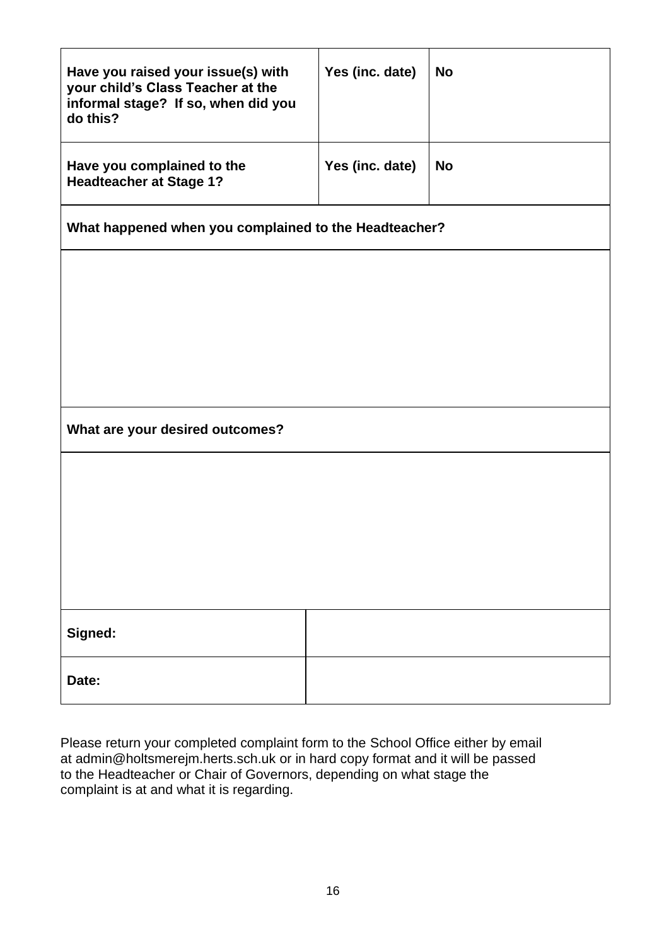| Have you raised your issue(s) with<br>your child's Class Teacher at the<br>informal stage? If so, when did you<br>do this? | Yes (inc. date) | <b>No</b> |  |  |  |
|----------------------------------------------------------------------------------------------------------------------------|-----------------|-----------|--|--|--|
| Have you complained to the<br><b>Headteacher at Stage 1?</b>                                                               | Yes (inc. date) | <b>No</b> |  |  |  |
| What happened when you complained to the Headteacher?                                                                      |                 |           |  |  |  |
|                                                                                                                            |                 |           |  |  |  |
|                                                                                                                            |                 |           |  |  |  |
|                                                                                                                            |                 |           |  |  |  |
|                                                                                                                            |                 |           |  |  |  |
| What are your desired outcomes?                                                                                            |                 |           |  |  |  |
|                                                                                                                            |                 |           |  |  |  |
|                                                                                                                            |                 |           |  |  |  |
|                                                                                                                            |                 |           |  |  |  |
|                                                                                                                            |                 |           |  |  |  |
| Signed:                                                                                                                    |                 |           |  |  |  |
| Date:                                                                                                                      |                 |           |  |  |  |

Please return your completed complaint form to the School Office either by email at admin@holtsmerejm.herts.sch.uk or in hard copy format and it will be passed to the Headteacher or Chair of Governors, depending on what stage the complaint is at and what it is regarding.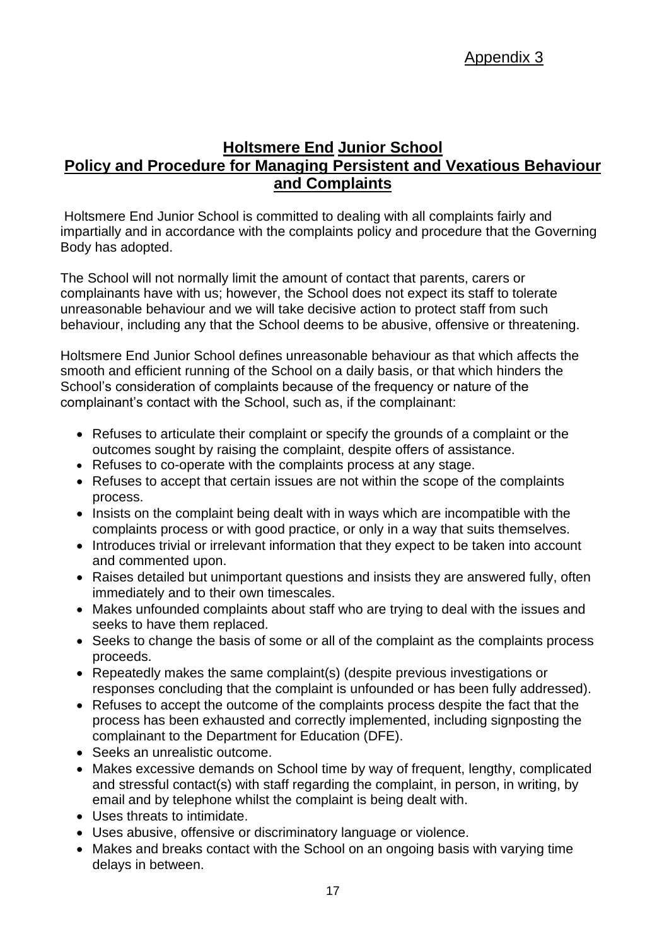### **Holtsmere End Junior School Policy and Procedure for Managing Persistent and Vexatious Behaviour and Complaints**

Holtsmere End Junior School is committed to dealing with all complaints fairly and impartially and in accordance with the complaints policy and procedure that the Governing Body has adopted.

The School will not normally limit the amount of contact that parents, carers or complainants have with us; however, the School does not expect its staff to tolerate unreasonable behaviour and we will take decisive action to protect staff from such behaviour, including any that the School deems to be abusive, offensive or threatening.

Holtsmere End Junior School defines unreasonable behaviour as that which affects the smooth and efficient running of the School on a daily basis, or that which hinders the School's consideration of complaints because of the frequency or nature of the complainant's contact with the School, such as, if the complainant:

- Refuses to articulate their complaint or specify the grounds of a complaint or the outcomes sought by raising the complaint, despite offers of assistance.
- Refuses to co-operate with the complaints process at any stage.
- Refuses to accept that certain issues are not within the scope of the complaints process.
- Insists on the complaint being dealt with in ways which are incompatible with the complaints process or with good practice, or only in a way that suits themselves.
- Introduces trivial or irrelevant information that they expect to be taken into account and commented upon.
- Raises detailed but unimportant questions and insists they are answered fully, often immediately and to their own timescales.
- Makes unfounded complaints about staff who are trying to deal with the issues and seeks to have them replaced.
- Seeks to change the basis of some or all of the complaint as the complaints process proceeds.
- Repeatedly makes the same complaint(s) (despite previous investigations or responses concluding that the complaint is unfounded or has been fully addressed).
- Refuses to accept the outcome of the complaints process despite the fact that the process has been exhausted and correctly implemented, including signposting the complainant to the Department for Education (DFE).
- Seeks an unrealistic outcome.
- Makes excessive demands on School time by way of frequent, lengthy, complicated and stressful contact(s) with staff regarding the complaint, in person, in writing, by email and by telephone whilst the complaint is being dealt with.
- Uses threats to intimidate.
- Uses abusive, offensive or discriminatory language or violence.
- Makes and breaks contact with the School on an ongoing basis with varying time delays in between.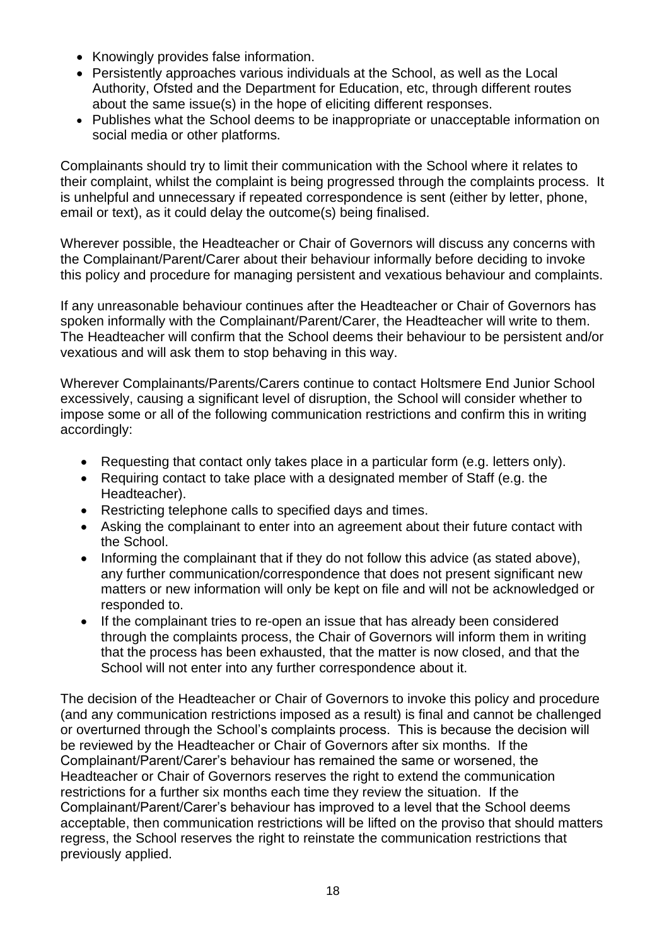- Knowingly provides false information.
- Persistently approaches various individuals at the School, as well as the Local Authority, Ofsted and the Department for Education, etc, through different routes about the same issue(s) in the hope of eliciting different responses.
- Publishes what the School deems to be inappropriate or unacceptable information on social media or other platforms.

Complainants should try to limit their communication with the School where it relates to their complaint, whilst the complaint is being progressed through the complaints process. It is unhelpful and unnecessary if repeated correspondence is sent (either by letter, phone, email or text), as it could delay the outcome(s) being finalised.

Wherever possible, the Headteacher or Chair of Governors will discuss any concerns with the Complainant/Parent/Carer about their behaviour informally before deciding to invoke this policy and procedure for managing persistent and vexatious behaviour and complaints.

If any unreasonable behaviour continues after the Headteacher or Chair of Governors has spoken informally with the Complainant/Parent/Carer, the Headteacher will write to them. The Headteacher will confirm that the School deems their behaviour to be persistent and/or vexatious and will ask them to stop behaving in this way.

Wherever Complainants/Parents/Carers continue to contact Holtsmere End Junior School excessively, causing a significant level of disruption, the School will consider whether to impose some or all of the following communication restrictions and confirm this in writing accordingly:

- Requesting that contact only takes place in a particular form (e.g. letters only).
- Requiring contact to take place with a designated member of Staff (e.g. the Headteacher).
- Restricting telephone calls to specified days and times.
- Asking the complainant to enter into an agreement about their future contact with the School.
- Informing the complainant that if they do not follow this advice (as stated above), any further communication/correspondence that does not present significant new matters or new information will only be kept on file and will not be acknowledged or responded to.
- If the complainant tries to re-open an issue that has already been considered through the complaints process, the Chair of Governors will inform them in writing that the process has been exhausted, that the matter is now closed, and that the School will not enter into any further correspondence about it.

The decision of the Headteacher or Chair of Governors to invoke this policy and procedure (and any communication restrictions imposed as a result) is final and cannot be challenged or overturned through the School's complaints process. This is because the decision will be reviewed by the Headteacher or Chair of Governors after six months. If the Complainant/Parent/Carer's behaviour has remained the same or worsened, the Headteacher or Chair of Governors reserves the right to extend the communication restrictions for a further six months each time they review the situation. If the Complainant/Parent/Carer's behaviour has improved to a level that the School deems acceptable, then communication restrictions will be lifted on the proviso that should matters regress, the School reserves the right to reinstate the communication restrictions that previously applied.